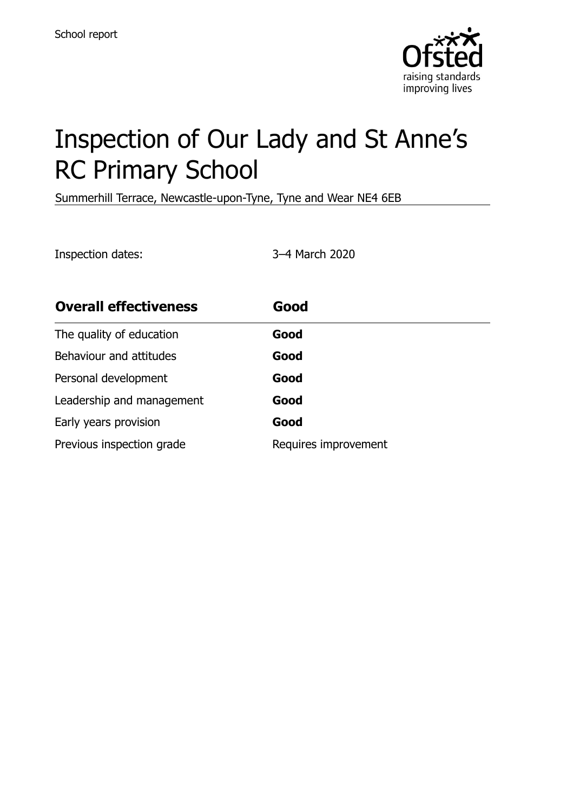

# Inspection of Our Lady and St Anne's RC Primary School

Summerhill Terrace, Newcastle-upon-Tyne, Tyne and Wear NE4 6EB

Inspection dates: 3–4 March 2020

| <b>Overall effectiveness</b> | Good                 |
|------------------------------|----------------------|
| The quality of education     | Good                 |
| Behaviour and attitudes      | Good                 |
| Personal development         | Good                 |
| Leadership and management    | Good                 |
| Early years provision        | Good                 |
| Previous inspection grade    | Requires improvement |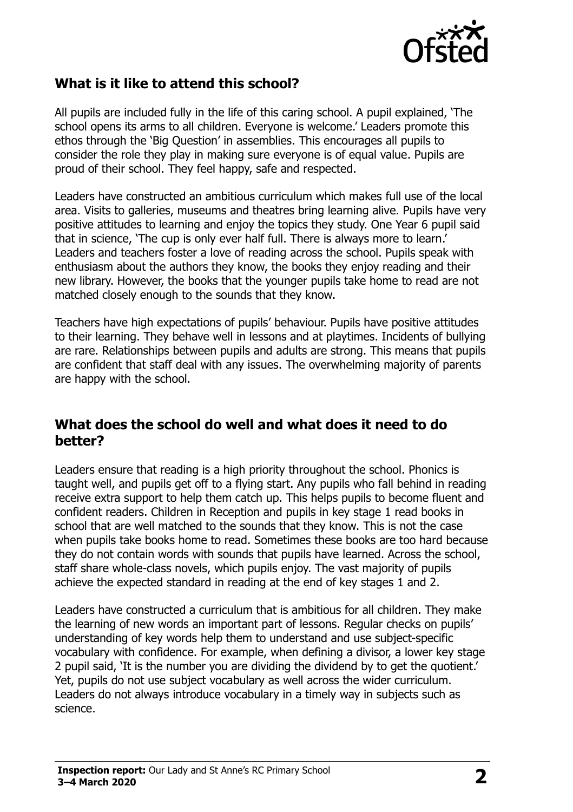

# **What is it like to attend this school?**

All pupils are included fully in the life of this caring school. A pupil explained, 'The school opens its arms to all children. Everyone is welcome.' Leaders promote this ethos through the 'Big Question' in assemblies. This encourages all pupils to consider the role they play in making sure everyone is of equal value. Pupils are proud of their school. They feel happy, safe and respected.

Leaders have constructed an ambitious curriculum which makes full use of the local area. Visits to galleries, museums and theatres bring learning alive. Pupils have very positive attitudes to learning and enjoy the topics they study. One Year 6 pupil said that in science, 'The cup is only ever half full. There is always more to learn.' Leaders and teachers foster a love of reading across the school. Pupils speak with enthusiasm about the authors they know, the books they enjoy reading and their new library. However, the books that the younger pupils take home to read are not matched closely enough to the sounds that they know.

Teachers have high expectations of pupils' behaviour. Pupils have positive attitudes to their learning. They behave well in lessons and at playtimes. Incidents of bullying are rare. Relationships between pupils and adults are strong. This means that pupils are confident that staff deal with any issues. The overwhelming majority of parents are happy with the school.

#### **What does the school do well and what does it need to do better?**

Leaders ensure that reading is a high priority throughout the school. Phonics is taught well, and pupils get off to a flying start. Any pupils who fall behind in reading receive extra support to help them catch up. This helps pupils to become fluent and confident readers. Children in Reception and pupils in key stage 1 read books in school that are well matched to the sounds that they know. This is not the case when pupils take books home to read. Sometimes these books are too hard because they do not contain words with sounds that pupils have learned. Across the school, staff share whole-class novels, which pupils enjoy. The vast majority of pupils achieve the expected standard in reading at the end of key stages 1 and 2.

Leaders have constructed a curriculum that is ambitious for all children. They make the learning of new words an important part of lessons. Regular checks on pupils' understanding of key words help them to understand and use subject-specific vocabulary with confidence. For example, when defining a divisor, a lower key stage 2 pupil said, 'It is the number you are dividing the dividend by to get the quotient.' Yet, pupils do not use subject vocabulary as well across the wider curriculum. Leaders do not always introduce vocabulary in a timely way in subjects such as science.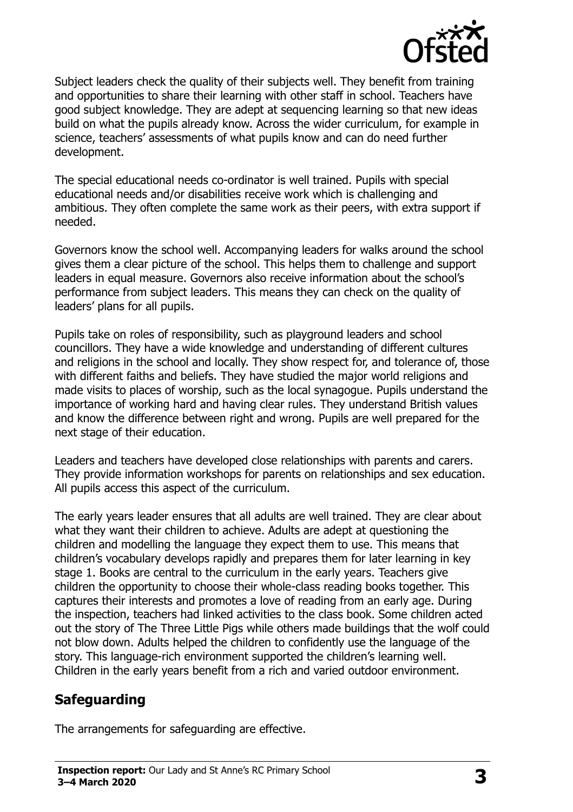

Subject leaders check the quality of their subjects well. They benefit from training and opportunities to share their learning with other staff in school. Teachers have good subject knowledge. They are adept at sequencing learning so that new ideas build on what the pupils already know. Across the wider curriculum, for example in science, teachers' assessments of what pupils know and can do need further development.

The special educational needs co-ordinator is well trained. Pupils with special educational needs and/or disabilities receive work which is challenging and ambitious. They often complete the same work as their peers, with extra support if needed.

Governors know the school well. Accompanying leaders for walks around the school gives them a clear picture of the school. This helps them to challenge and support leaders in equal measure. Governors also receive information about the school's performance from subject leaders. This means they can check on the quality of leaders' plans for all pupils.

Pupils take on roles of responsibility, such as playground leaders and school councillors. They have a wide knowledge and understanding of different cultures and religions in the school and locally. They show respect for, and tolerance of, those with different faiths and beliefs. They have studied the major world religions and made visits to places of worship, such as the local synagogue. Pupils understand the importance of working hard and having clear rules. They understand British values and know the difference between right and wrong. Pupils are well prepared for the next stage of their education.

Leaders and teachers have developed close relationships with parents and carers. They provide information workshops for parents on relationships and sex education. All pupils access this aspect of the curriculum.

The early years leader ensures that all adults are well trained. They are clear about what they want their children to achieve. Adults are adept at questioning the children and modelling the language they expect them to use. This means that children's vocabulary develops rapidly and prepares them for later learning in key stage 1. Books are central to the curriculum in the early years. Teachers give children the opportunity to choose their whole-class reading books together. This captures their interests and promotes a love of reading from an early age. During the inspection, teachers had linked activities to the class book. Some children acted out the story of The Three Little Pigs while others made buildings that the wolf could not blow down. Adults helped the children to confidently use the language of the story. This language-rich environment supported the children's learning well. Children in the early years benefit from a rich and varied outdoor environment.

#### **Safeguarding**

The arrangements for safeguarding are effective.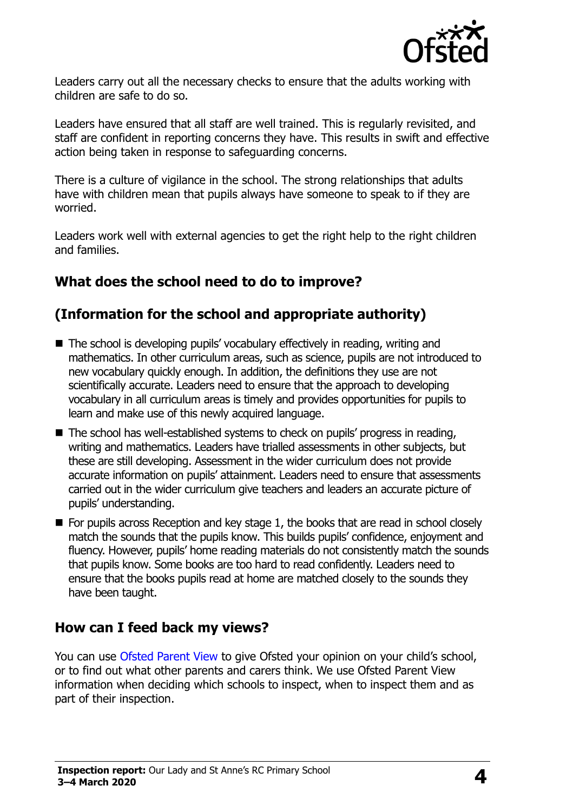

Leaders carry out all the necessary checks to ensure that the adults working with children are safe to do so.

Leaders have ensured that all staff are well trained. This is regularly revisited, and staff are confident in reporting concerns they have. This results in swift and effective action being taken in response to safeguarding concerns.

There is a culture of vigilance in the school. The strong relationships that adults have with children mean that pupils always have someone to speak to if they are worried.

Leaders work well with external agencies to get the right help to the right children and families.

# **What does the school need to do to improve?**

# **(Information for the school and appropriate authority)**

- The school is developing pupils' vocabulary effectively in reading, writing and mathematics. In other curriculum areas, such as science, pupils are not introduced to new vocabulary quickly enough. In addition, the definitions they use are not scientifically accurate. Leaders need to ensure that the approach to developing vocabulary in all curriculum areas is timely and provides opportunities for pupils to learn and make use of this newly acquired language.
- The school has well-established systems to check on pupils' progress in reading, writing and mathematics. Leaders have trialled assessments in other subjects, but these are still developing. Assessment in the wider curriculum does not provide accurate information on pupils' attainment. Leaders need to ensure that assessments carried out in the wider curriculum give teachers and leaders an accurate picture of pupils' understanding.
- For pupils across Reception and key stage 1, the books that are read in school closely match the sounds that the pupils know. This builds pupils' confidence, enjoyment and fluency. However, pupils' home reading materials do not consistently match the sounds that pupils know. Some books are too hard to read confidently. Leaders need to ensure that the books pupils read at home are matched closely to the sounds they have been taught.

#### **How can I feed back my views?**

You can use [Ofsted Parent View](http://parentview.ofsted.gov.uk/) to give Ofsted your opinion on your child's school, or to find out what other parents and carers think. We use Ofsted Parent View information when deciding which schools to inspect, when to inspect them and as part of their inspection.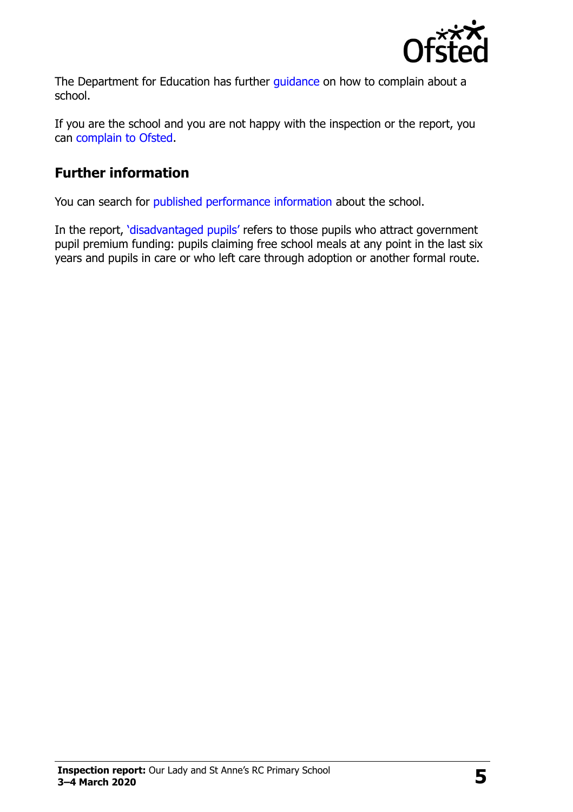

The Department for Education has further quidance on how to complain about a school.

If you are the school and you are not happy with the inspection or the report, you can [complain to Ofsted.](http://www.gov.uk/complain-ofsted-report)

## **Further information**

You can search for [published performance information](http://www.compare-school-performance.service.gov.uk/) about the school.

In the report, '[disadvantaged pupils](http://www.gov.uk/guidance/pupil-premium-information-for-schools-and-alternative-provision-settings)' refers to those pupils who attract government pupil premium funding: pupils claiming free school meals at any point in the last six years and pupils in care or who left care through adoption or another formal route.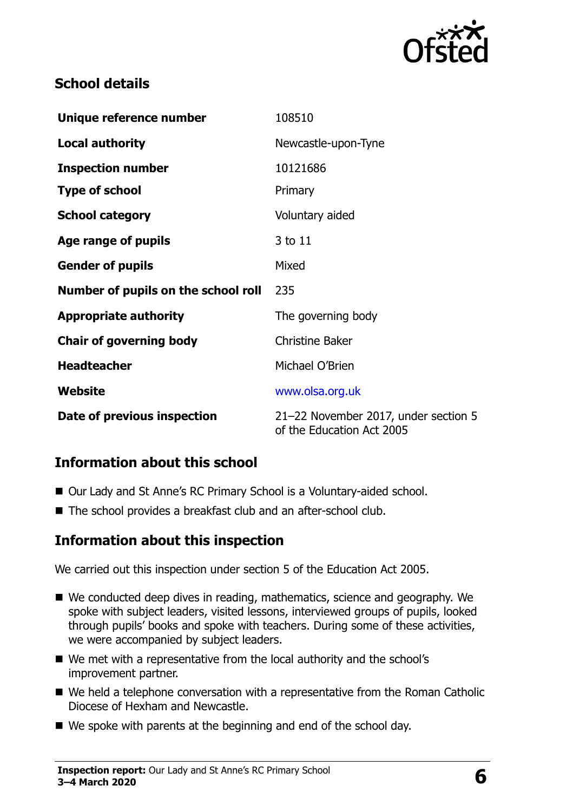

# **School details**

| Unique reference number             | 108510                                                            |
|-------------------------------------|-------------------------------------------------------------------|
| <b>Local authority</b>              | Newcastle-upon-Tyne                                               |
| <b>Inspection number</b>            | 10121686                                                          |
| <b>Type of school</b>               | Primary                                                           |
| <b>School category</b>              | Voluntary aided                                                   |
| Age range of pupils                 | 3 to 11                                                           |
| <b>Gender of pupils</b>             | Mixed                                                             |
| Number of pupils on the school roll | 235                                                               |
| <b>Appropriate authority</b>        | The governing body                                                |
| <b>Chair of governing body</b>      | <b>Christine Baker</b>                                            |
| <b>Headteacher</b>                  | Michael O'Brien                                                   |
| Website                             | www.olsa.org.uk                                                   |
| Date of previous inspection         | 21-22 November 2017, under section 5<br>of the Education Act 2005 |

#### **Information about this school**

- Our Lady and St Anne's RC Primary School is a Voluntary-aided school.
- The school provides a breakfast club and an after-school club.

#### **Information about this inspection**

We carried out this inspection under section 5 of the Education Act 2005.

- We conducted deep dives in reading, mathematics, science and geography. We spoke with subject leaders, visited lessons, interviewed groups of pupils, looked through pupils' books and spoke with teachers. During some of these activities, we were accompanied by subject leaders.
- We met with a representative from the local authority and the school's improvement partner.
- We held a telephone conversation with a representative from the Roman Catholic Diocese of Hexham and Newcastle.
- We spoke with parents at the beginning and end of the school day.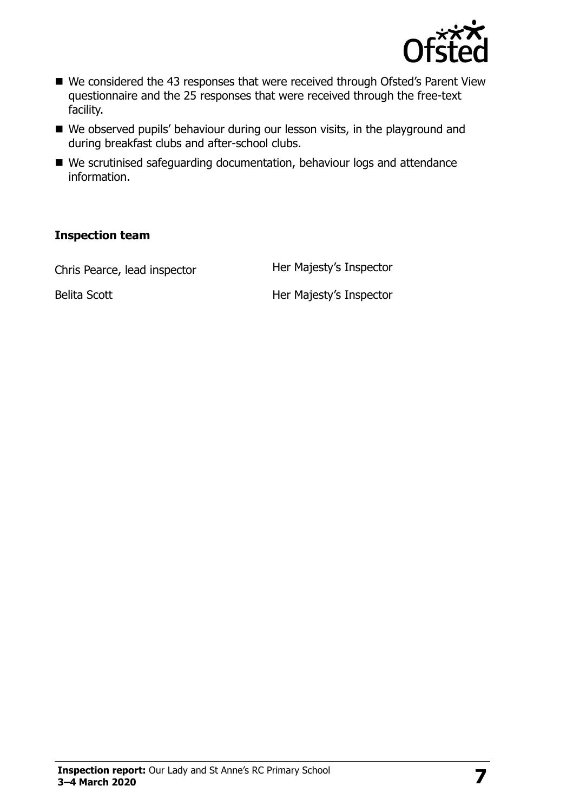

- We considered the 43 responses that were received through Ofsted's Parent View questionnaire and the 25 responses that were received through the free-text facility.
- We observed pupils' behaviour during our lesson visits, in the playground and during breakfast clubs and after-school clubs.
- We scrutinised safeguarding documentation, behaviour logs and attendance information.

#### **Inspection team**

Chris Pearce, lead inspector **Her Majesty's Inspector** 

Belita Scott **Her Majesty's Inspector**